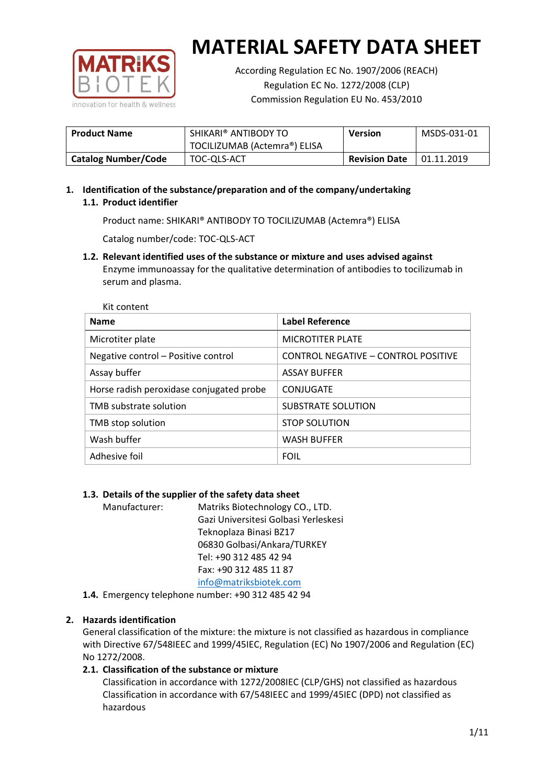

According Regulation EC No. 1907/2006 (REACH) Regulation EC No. 1272/2008 (CLP) Commission Regulation EU No. 453/2010

| <b>Product Name</b>        | SHIKARI® ANTIBODY TO         | <b>Version</b>       | MSDS-031-01 |
|----------------------------|------------------------------|----------------------|-------------|
|                            | TOCILIZUMAB (Actemra®) ELISA |                      |             |
| <b>Catalog Number/Code</b> | TOC-QLS-ACT                  | <b>Revision Date</b> | 01.11.2019  |

### **1. Identification of the substance/preparation and of the company/undertaking 1.1. Product identifier**

Product name: SHIKARI® ANTIBODY TO TOCILIZUMAB (Actemra®) ELISA

Catalog number/code: TOC-QLS-ACT

### **1.2. Relevant identified uses of the substance or mixture and uses advised against**

Enzyme immunoassay for the qualitative determination of antibodies to tocilizumab in serum and plasma.

| Kit content                              |                                     |
|------------------------------------------|-------------------------------------|
| <b>Name</b>                              | <b>Label Reference</b>              |
| Microtiter plate                         | <b>MICROTITER PLATE</b>             |
| Negative control - Positive control      | CONTROL NEGATIVE - CONTROL POSITIVE |
| Assay buffer                             | <b>ASSAY BUFFER</b>                 |
| Horse radish peroxidase conjugated probe | CONJUGATE                           |
| TMB substrate solution                   | <b>SUBSTRATE SOLUTION</b>           |
| TMB stop solution                        | <b>STOP SOLUTION</b>                |
| Wash buffer                              | <b>WASH BUFFER</b>                  |
| Adhesive foil                            | <b>FOIL</b>                         |

#### **1.3. Details of the supplier of the safety data sheet**

Manufacturer: Matriks Biotechnology CO., LTD. Gazi Universitesi Golbasi Yerleskesi Teknoplaza Binasi BZ17 06830 Golbasi/Ankara/TURKEY Tel: +90 312 485 42 94 Fax: +90 312 485 11 87 [info@matriksbiotek.com](mailto:info@matriksbiotek.com)

**1.4.** Emergency telephone number: +90 312 485 42 94

#### **2. Hazards identification**

General classification of the mixture: the mixture is not classified as hazardous in compliance with Directive 67/548IEEC and 1999/45IEC, Regulation (EC) No 1907/2006 and Regulation (EC) No 1272/2008.

#### **2.1. Classification of the substance or mixture**

Classification in accordance with 1272/2008IEC (CLP/GHS) not classified as hazardous Classification in accordance with 67/548IEEC and 1999/45IEC (DPD) not classified as hazardous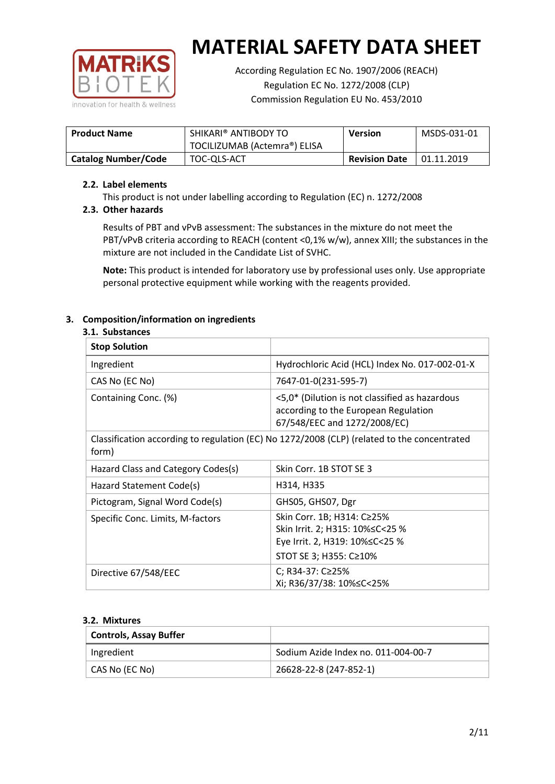

According Regulation EC No. 1907/2006 (REACH) Regulation EC No. 1272/2008 (CLP) Commission Regulation EU No. 453/2010

| <b>Product Name</b>        | SHIKARI® ANTIBODY TO         | <b>Version</b>       | MSDS-031-01 |
|----------------------------|------------------------------|----------------------|-------------|
|                            | TOCILIZUMAB (Actemra®) ELISA |                      |             |
| <b>Catalog Number/Code</b> | TOC-QLS-ACT                  | <b>Revision Date</b> | 01.11.2019  |

#### **2.2. Label elements**

This product is not under labelling according to Regulation (EC) n. 1272/2008

#### **2.3. Other hazards**

Results of PBT and vPvB assessment: The substances in the mixture do not meet the PBT/vPvB criteria according to REACH (content <0,1% w/w), annex XIII; the substances in the mixture are not included in the Candidate List of SVHC.

**Note:** This product is intended for laboratory use by professional uses only. Use appropriate personal protective equipment while working with the reagents provided.

#### **3. Composition/information on ingredients**

#### **3.1. Substances**

| <b>Stop Solution</b>               |                                                                                                                           |
|------------------------------------|---------------------------------------------------------------------------------------------------------------------------|
| Ingredient                         | Hydrochloric Acid (HCL) Index No. 017-002-01-X                                                                            |
| CAS No (EC No)                     | 7647-01-0(231-595-7)                                                                                                      |
| Containing Conc. (%)               | <5,0* (Dilution is not classified as hazardous<br>according to the European Regulation<br>67/548/EEC and 1272/2008/EC)    |
| form)                              | Classification according to regulation (EC) No 1272/2008 (CLP) (related to the concentrated                               |
| Hazard Class and Category Codes(s) | Skin Corr. 1B STOT SE 3                                                                                                   |
| Hazard Statement Code(s)           | H314, H335                                                                                                                |
| Pictogram, Signal Word Code(s)     | GHS05, GHS07, Dgr                                                                                                         |
| Specific Conc. Limits, M-factors   | Skin Corr. 1B; H314: C≥25%<br>Skin Irrit. 2; H315: 10%≤C<25 %<br>Eye Irrit. 2, H319: 10%≤C<25 %<br>STOT SE 3; H355: C≥10% |
| Directive 67/548/EEC               | C; R34-37: C≥25%<br>Xi; R36/37/38: 10% <<<<<<<                                                                            |

#### **3.2. Mixtures**

| <b>Controls, Assay Buffer</b> |                                     |
|-------------------------------|-------------------------------------|
| Ingredient                    | Sodium Azide Index no. 011-004-00-7 |
| CAS No (EC No)                | 26628-22-8 (247-852-1)              |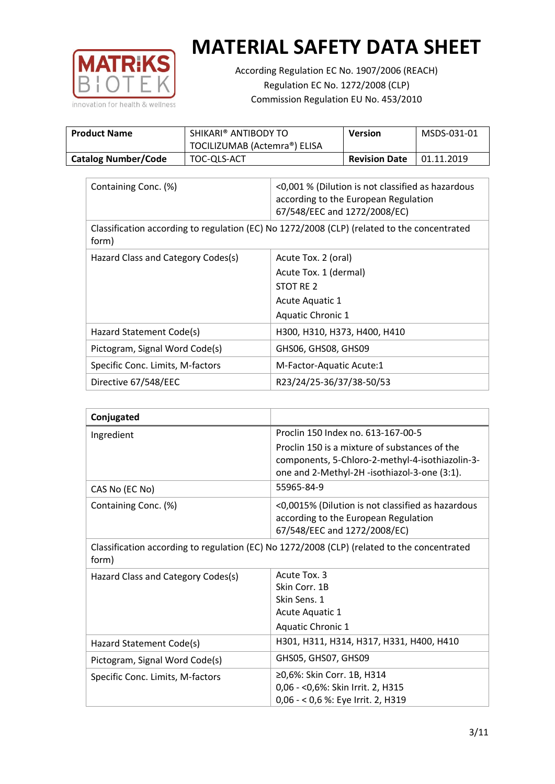

According Regulation EC No. 1907/2006 (REACH) Regulation EC No. 1272/2008 (CLP) Commission Regulation EU No. 453/2010

| <b>Product Name</b>        | SHIKARI® ANTIBODY TO<br>TOCILIZUMAB (Actemra®) ELISA | Version              | MSDS-031-01 |
|----------------------------|------------------------------------------------------|----------------------|-------------|
| <b>Catalog Number/Code</b> | TOC-QLS-ACT                                          | <b>Revision Date</b> | 01.11.2019  |

| Containing Conc. (%)               | <0,001 % (Dilution is not classified as hazardous<br>according to the European Regulation<br>67/548/EEC and 1272/2008/EC) |
|------------------------------------|---------------------------------------------------------------------------------------------------------------------------|
| form)                              | Classification according to regulation (EC) No 1272/2008 (CLP) (related to the concentrated                               |
| Hazard Class and Category Codes(s) | Acute Tox. 2 (oral)                                                                                                       |
|                                    | Acute Tox. 1 (dermal)                                                                                                     |
|                                    | STOT RE 2                                                                                                                 |
|                                    | Acute Aquatic 1                                                                                                           |
|                                    | <b>Aquatic Chronic 1</b>                                                                                                  |
| Hazard Statement Code(s)           | H300, H310, H373, H400, H410                                                                                              |
| Pictogram, Signal Word Code(s)     | GHS06, GHS08, GHS09                                                                                                       |
| Specific Conc. Limits, M-factors   | M-Factor-Aquatic Acute:1                                                                                                  |
| Directive 67/548/EEC               | R23/24/25-36/37/38-50/53                                                                                                  |

| Conjugated                         |                                                                                                                                                  |
|------------------------------------|--------------------------------------------------------------------------------------------------------------------------------------------------|
| Ingredient                         | Proclin 150 Index no. 613-167-00-5                                                                                                               |
|                                    | Proclin 150 is a mixture of substances of the<br>components, 5-Chloro-2-methyl-4-isothiazolin-3-<br>one and 2-Methyl-2H -isothiazol-3-one (3:1). |
| CAS No (EC No)                     | 55965-84-9                                                                                                                                       |
| Containing Conc. (%)               | <0,0015% (Dilution is not classified as hazardous<br>according to the European Regulation<br>67/548/EEC and 1272/2008/EC)                        |
| form)                              | Classification according to regulation (EC) No 1272/2008 (CLP) (related to the concentrated                                                      |
| Hazard Class and Category Codes(s) | Acute Tox, 3                                                                                                                                     |
|                                    | Skin Corr. 1B                                                                                                                                    |
|                                    | Skin Sens. 1                                                                                                                                     |
|                                    | Acute Aquatic 1                                                                                                                                  |
|                                    | <b>Aquatic Chronic 1</b>                                                                                                                         |
| Hazard Statement Code(s)           | H301, H311, H314, H317, H331, H400, H410                                                                                                         |
| Pictogram, Signal Word Code(s)     | GHS05, GHS07, GHS09                                                                                                                              |
| Specific Conc. Limits, M-factors   | ≥0,6%: Skin Corr. 1B, H314<br>0,06 - < 0,6%: Skin Irrit. 2, H315<br>0,06 - < 0,6 %: Eye Irrit. 2, H319                                           |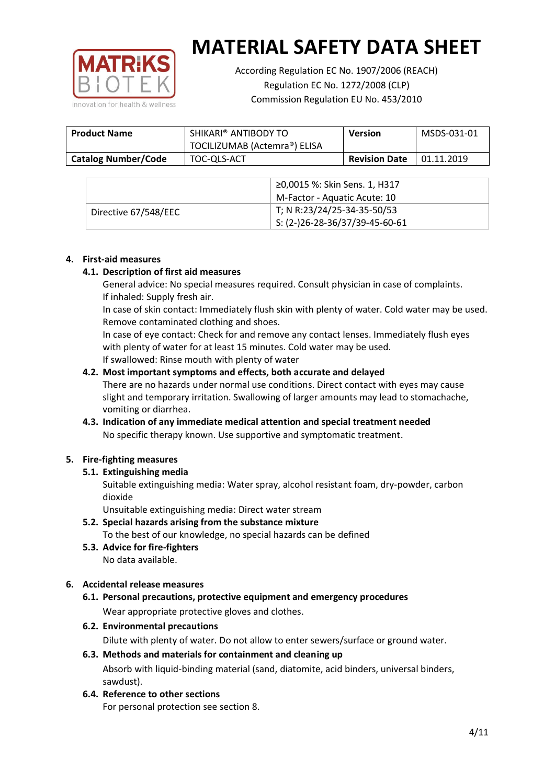

According Regulation EC No. 1907/2006 (REACH) Regulation EC No. 1272/2008 (CLP) Commission Regulation EU No. 453/2010

| <b>Product Name</b>        | SHIKARI® ANTIBODY TO<br>TOCILIZUMAB (Actemra®) ELISA | <b>Version</b>       | MSDS-031-01 |
|----------------------------|------------------------------------------------------|----------------------|-------------|
| <b>Catalog Number/Code</b> | TOC-QLS-ACT                                          | <b>Revision Date</b> | 01.11.2019  |

|                      | ≥0,0015 %: Skin Sens. 1, H317                |
|----------------------|----------------------------------------------|
|                      | M-Factor - Aquatic Acute: 10                 |
| Directive 67/548/EEC | T; N R:23/24/25-34-35-50/53                  |
|                      | $\frac{1}{2}$ S: (2-)26-28-36/37/39-45-60-61 |

#### **4. First-aid measures**

#### **4.1. Description of first aid measures**

General advice: No special measures required. Consult physician in case of complaints. If inhaled: Supply fresh air.

In case of skin contact: Immediately flush skin with plenty of water. Cold water may be used. Remove contaminated clothing and shoes.

In case of eye contact: Check for and remove any contact lenses. Immediately flush eyes with plenty of water for at least 15 minutes. Cold water may be used. If swallowed: Rinse mouth with plenty of water

#### **4.2. Most important symptoms and effects, both accurate and delayed**

There are no hazards under normal use conditions. Direct contact with eyes may cause slight and temporary irritation. Swallowing of larger amounts may lead to stomachache, vomiting or diarrhea.

#### **4.3. Indication of any immediate medical attention and special treatment needed** No specific therapy known. Use supportive and symptomatic treatment.

#### **5. Fire-fighting measures**

#### **5.1. Extinguishing media**

Suitable extinguishing media: Water spray, alcohol resistant foam, dry-powder, carbon dioxide

Unsuitable extinguishing media: Direct water stream

- **5.2. Special hazards arising from the substance mixture** To the best of our knowledge, no special hazards can be defined
- **5.3. Advice for fire-fighters** No data available.

#### **6. Accidental release measures**

- **6.1. Personal precautions, protective equipment and emergency procedures** Wear appropriate protective gloves and clothes.
- **6.2. Environmental precautions**

Dilute with plenty of water. Do not allow to enter sewers/surface or ground water.

### **6.3. Methods and materials for containment and cleaning up** Absorb with liquid-binding material (sand, diatomite, acid binders, universal binders,

- sawdust).
- **6.4. Reference to other sections**

For personal protection see section 8.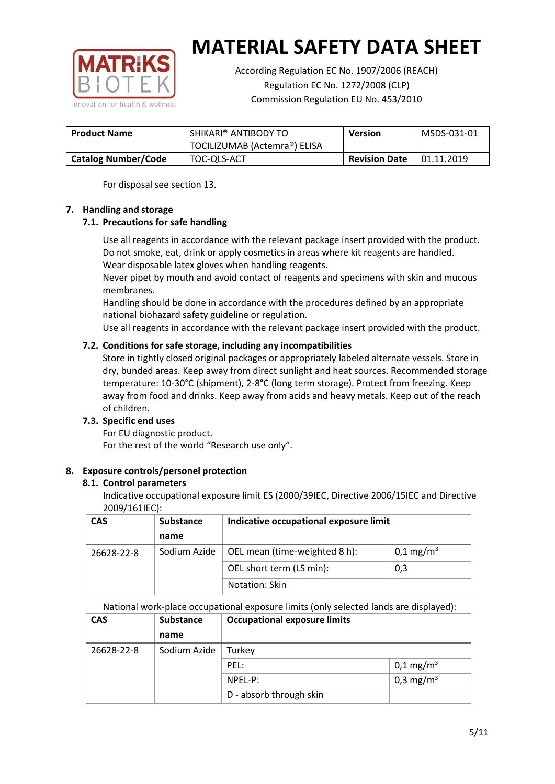

According Regulation EC No. 1907/2006 (REACH) Regulation EC No. 1272/2008 (CLP) Commission Regulation EU No. 453/2010

| <b>Product Name</b>        | SHIKARI® ANTIBODY TO         | <b>Version</b>       | MSDS-031-01 |
|----------------------------|------------------------------|----------------------|-------------|
|                            | TOCILIZUMAB (Actemra®) ELISA |                      |             |
| <b>Catalog Number/Code</b> | TOC-QLS-ACT                  | <b>Revision Date</b> | 01.11.2019  |

For disposal see section 13.

#### **7. Handling and storage**

#### **7.1. Precautions for safe handling**

Use all reagents in accordance with the relevant package insert provided with the product. Do not smoke, eat, drink or apply cosmetics in areas where kit reagents are handled. Wear disposable latex gloves when handling reagents.

Never pipet by mouth and avoid contact of reagents and specimens with skin and mucous membranes.

Handling should be done in accordance with the procedures defined by an appropriate national biohazard safety guideline or regulation.

Use all reagents in accordance with the relevant package insert provided with the product.

#### **7.2. Conditions for safe storage, including any incompatibilities**

Store in tightly closed original packages or appropriately labeled alternate vessels. Store in dry, bunded areas. Keep away from direct sunlight and heat sources. Recommended storage temperature: 10-30°C (shipment), 2-8°C (long term storage). Protect from freezing. Keep away from food and drinks. Keep away from acids and heavy metals. Keep out of the reach of children.

#### **7.3. Specific end uses**

For EU diagnostic product. For the rest of the world "Research use only".

#### **8. Exposure controls/personel protection**

#### **8.1. Control parameters**

Indicative occupational exposure limit ES (2000/39IEC, Directive 2006/15IEC and Directive 2009/161IEC):

| <b>CAS</b> | <b>Substance</b> | Indicative occupational exposure limit |                       |
|------------|------------------|----------------------------------------|-----------------------|
|            | name             |                                        |                       |
| 26628-22-8 | Sodium Azide     | OEL mean (time-weighted 8 h):          | 0,1 mg/m <sup>3</sup> |
|            |                  | OEL short term (LS min):               | 0,3                   |
|            |                  | Notation: Skin                         |                       |

National work-place occupational exposure limits (only selected lands are displayed):

| <b>CAS</b> | <b>Substance</b> | <b>Occupational exposure limits</b> |                         |
|------------|------------------|-------------------------------------|-------------------------|
|            | name             |                                     |                         |
| 26628-22-8 | Sodium Azide     | Turkey                              |                         |
|            |                  | PEL:                                | $0,1 \,\mathrm{mg/m^3}$ |
|            |                  | NPEL-P:                             | 0,3 mg/m <sup>3</sup>   |
|            |                  | D - absorb through skin             |                         |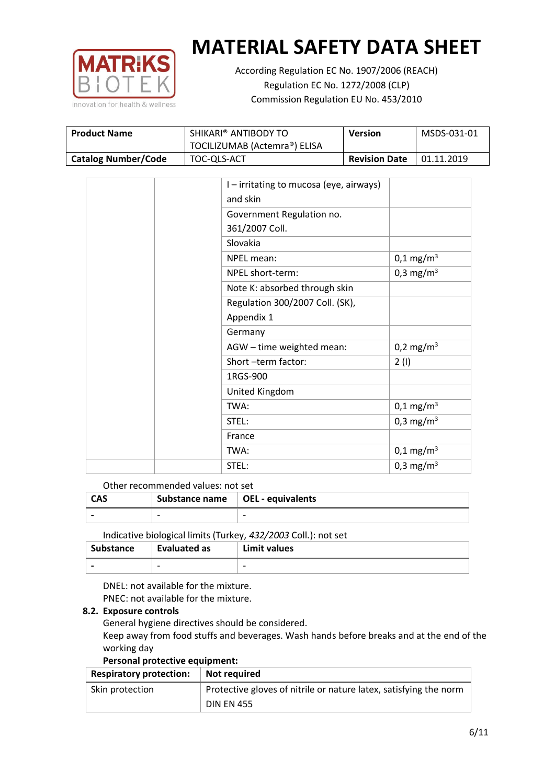

According Regulation EC No. 1907/2006 (REACH) Regulation EC No. 1272/2008 (CLP) Commission Regulation EU No. 453/2010

| <b>Product Name</b>        | SHIKARI® ANTIBODY TO         | Version              | MSDS-031-01 |
|----------------------------|------------------------------|----------------------|-------------|
|                            | TOCILIZUMAB (Actemra®) ELISA |                      |             |
| <b>Catalog Number/Code</b> | TOC-QLS-ACT                  | <b>Revision Date</b> | 01.11.2019  |

|  | I - irritating to mucosa (eye, airways) |                         |
|--|-----------------------------------------|-------------------------|
|  | and skin                                |                         |
|  | Government Regulation no.               |                         |
|  | 361/2007 Coll.                          |                         |
|  | Slovakia                                |                         |
|  | NPEL mean:                              | $0,1 \,\mathrm{mg/m^3}$ |
|  | NPEL short-term:                        | 0,3 mg/m <sup>3</sup>   |
|  | Note K: absorbed through skin           |                         |
|  | Regulation 300/2007 Coll. (SK),         |                         |
|  | Appendix 1                              |                         |
|  | Germany                                 |                         |
|  | AGW - time weighted mean:               | 0,2 mg/m <sup>3</sup>   |
|  | Short-term factor:                      | 2(1)                    |
|  | 1RGS-900                                |                         |
|  | United Kingdom                          |                         |
|  | TWA:                                    | $0,1 \,\mathrm{mg/m^3}$ |
|  | STEL:                                   | 0,3 mg/m <sup>3</sup>   |
|  | France                                  |                         |
|  | TWA:                                    | $0,1 \,\mathrm{mg/m^3}$ |
|  | STEL:                                   | 0,3 mg/m <sup>3</sup>   |

Other recommended values: not set

| <b>CAS</b> | Substance name   OEL - equivalents |                          |
|------------|------------------------------------|--------------------------|
|            | $\overline{\phantom{0}}$           | $\overline{\phantom{0}}$ |
|            |                                    |                          |

Indicative biological limits (Turkey, *432/2003* Coll.): not set

| Substance                | <b>Evaluated as</b>      | Limit values             |
|--------------------------|--------------------------|--------------------------|
| $\overline{\phantom{0}}$ | $\overline{\phantom{0}}$ | $\overline{\phantom{0}}$ |

DNEL: not available for the mixture. PNEC: not available for the mixture.

#### **8.2. Exposure controls**

General hygiene directives should be considered.

Keep away from food stuffs and beverages. Wash hands before breaks and at the end of the working day

#### **Personal protective equipment:**

| <b>Respiratory protection:</b> | Not required                                                      |
|--------------------------------|-------------------------------------------------------------------|
| Skin protection                | Protective gloves of nitrile or nature latex, satisfying the norm |
|                                | <b>DIN EN 455</b>                                                 |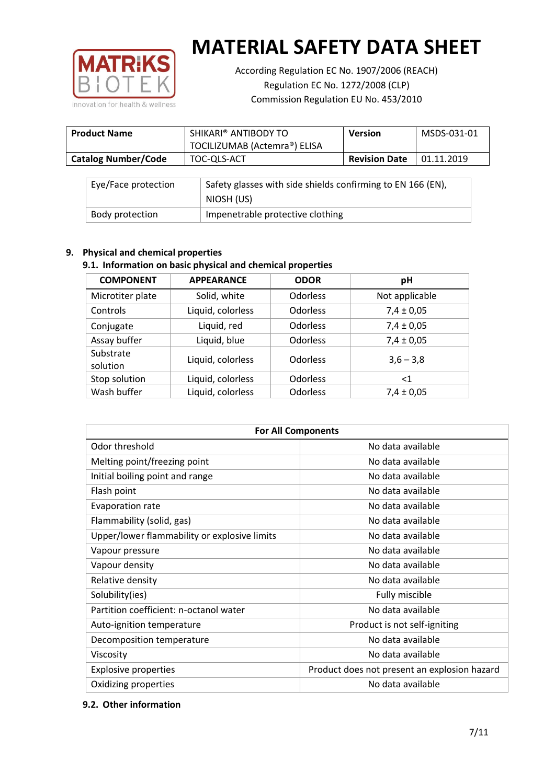

According Regulation EC No. 1907/2006 (REACH) Regulation EC No. 1272/2008 (CLP) Commission Regulation EU No. 453/2010

| <b>Product Name</b>        | SHIKARI® ANTIBODY TO<br>TOCILIZUMAB (Actemra®) ELISA | Version              | MSDS-031-01 |
|----------------------------|------------------------------------------------------|----------------------|-------------|
| <b>Catalog Number/Code</b> | TOC-QLS-ACT                                          | <b>Revision Date</b> | 01.11.2019  |

| Eye/Face protection | Safety glasses with side shields confirming to EN 166 (EN),<br>NIOSH (US) |
|---------------------|---------------------------------------------------------------------------|
| Body protection     | Impenetrable protective clothing                                          |

#### **9. Physical and chemical properties**

#### **9.1. Information on basic physical and chemical properties**

| <b>COMPONENT</b>      | <b>APPEARANCE</b> | <b>ODOR</b>     | pH             |
|-----------------------|-------------------|-----------------|----------------|
| Microtiter plate      | Solid, white      | <b>Odorless</b> | Not applicable |
| Controls              | Liquid, colorless | <b>Odorless</b> | $7,4 \pm 0,05$ |
| Conjugate             | Liquid, red       | <b>Odorless</b> | $7,4 \pm 0,05$ |
| Assay buffer          | Liquid, blue      | <b>Odorless</b> | $7,4 \pm 0,05$ |
| Substrate<br>solution | Liquid, colorless | <b>Odorless</b> | $3,6 - 3,8$    |
| Stop solution         | Liquid, colorless | <b>Odorless</b> | $<$ 1          |
| Wash buffer           | Liquid, colorless | <b>Odorless</b> | $7,4 \pm 0,05$ |

| <b>For All Components</b>                    |                                              |  |  |
|----------------------------------------------|----------------------------------------------|--|--|
| Odor threshold                               | No data available                            |  |  |
| Melting point/freezing point                 | No data available                            |  |  |
| Initial boiling point and range              | No data available                            |  |  |
| Flash point                                  | No data available                            |  |  |
| Evaporation rate                             | No data available                            |  |  |
| Flammability (solid, gas)                    | No data available                            |  |  |
| Upper/lower flammability or explosive limits | No data available                            |  |  |
| Vapour pressure                              | No data available                            |  |  |
| Vapour density                               | No data available                            |  |  |
| Relative density                             | No data available                            |  |  |
| Solubility(ies)                              | Fully miscible                               |  |  |
| Partition coefficient: n-octanol water       | No data available                            |  |  |
| Auto-ignition temperature                    | Product is not self-igniting                 |  |  |
| Decomposition temperature                    | No data available                            |  |  |
| Viscosity                                    | No data available                            |  |  |
| <b>Explosive properties</b>                  | Product does not present an explosion hazard |  |  |
| Oxidizing properties                         | No data available                            |  |  |

#### **9.2. Other information**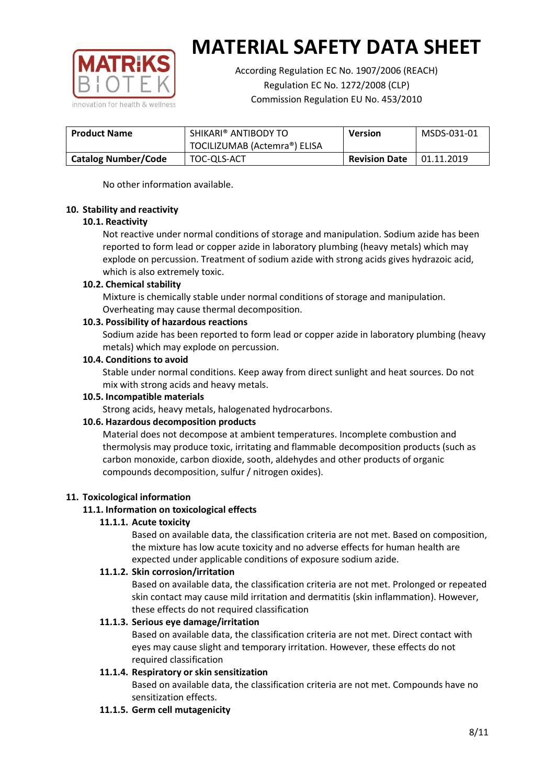

According Regulation EC No. 1907/2006 (REACH) Regulation EC No. 1272/2008 (CLP) Commission Regulation EU No. 453/2010

| <b>Product Name</b>        | SHIKARI® ANTIBODY TO         | <b>Version</b>       | MSDS-031-01 |
|----------------------------|------------------------------|----------------------|-------------|
|                            | TOCILIZUMAB (Actemra®) ELISA |                      |             |
| <b>Catalog Number/Code</b> | TOC-QLS-ACT                  | <b>Revision Date</b> | 01.11.2019  |

No other information available.

#### **10. Stability and reactivity**

#### **10.1. Reactivity**

Not reactive under normal conditions of storage and manipulation. Sodium azide has been reported to form lead or copper azide in laboratory plumbing (heavy metals) which may explode on percussion. Treatment of sodium azide with strong acids gives hydrazoic acid, which is also extremely toxic.

#### **10.2. Chemical stability**

Mixture is chemically stable under normal conditions of storage and manipulation. Overheating may cause thermal decomposition.

#### **10.3. Possibility of hazardous reactions**

Sodium azide has been reported to form lead or copper azide in laboratory plumbing (heavy metals) which may explode on percussion.

#### **10.4. Conditions to avoid**

Stable under normal conditions. Keep away from direct sunlight and heat sources. Do not mix with strong acids and heavy metals.

#### **10.5. Incompatible materials**

Strong acids, heavy metals, halogenated hydrocarbons.

#### **10.6. Hazardous decomposition products**

Material does not decompose at ambient temperatures. Incomplete combustion and thermolysis may produce toxic, irritating and flammable decomposition products (such as carbon monoxide, carbon dioxide, sooth, aldehydes and other products of organic compounds decomposition, sulfur / nitrogen oxides).

#### **11. Toxicological information**

#### **11.1. Information on toxicological effects**

#### **11.1.1. Acute toxicity**

Based on available data, the classification criteria are not met. Based on composition, the mixture has low acute toxicity and no adverse effects for human health are expected under applicable conditions of exposure sodium azide.

#### **11.1.2. Skin corrosion/irritation**

Based on available data, the classification criteria are not met. Prolonged or repeated skin contact may cause mild irritation and dermatitis (skin inflammation). However, these effects do not required classification

#### **11.1.3. Serious eye damage/irritation**

Based on available data, the classification criteria are not met. Direct contact with eyes may cause slight and temporary irritation. However, these effects do not required classification

#### **11.1.4. Respiratory or skin sensitization**

Based on available data, the classification criteria are not met. Compounds have no sensitization effects.

#### **11.1.5. Germ cell mutagenicity**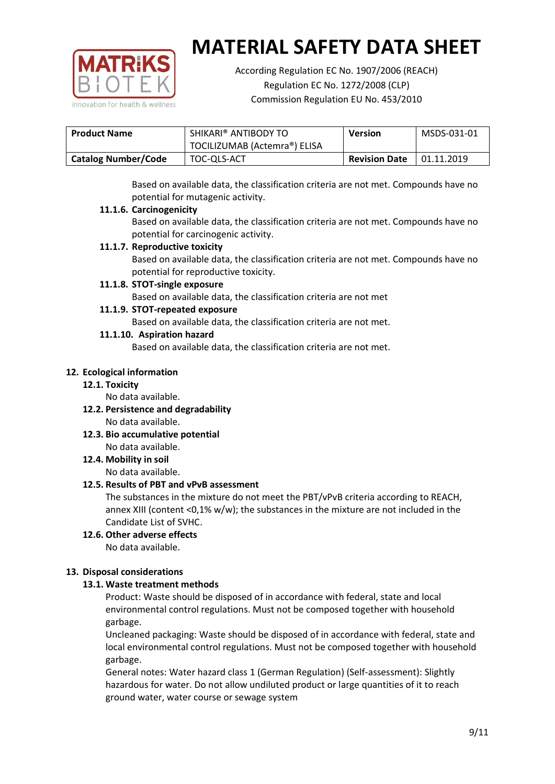

According Regulation EC No. 1907/2006 (REACH) Regulation EC No. 1272/2008 (CLP) Commission Regulation EU No. 453/2010

| <b>Product Name</b>        | SHIKARI® ANTIBODY TO         | <b>Version</b>       | MSDS-031-01 |
|----------------------------|------------------------------|----------------------|-------------|
|                            | TOCILIZUMAB (Actemra®) ELISA |                      |             |
| <b>Catalog Number/Code</b> | TOC-QLS-ACT                  | <b>Revision Date</b> | 01.11.2019  |

Based on available data, the classification criteria are not met. Compounds have no potential for mutagenic activity.

#### **11.1.6. Carcinogenicity**

Based on available data, the classification criteria are not met. Compounds have no potential for carcinogenic activity.

#### **11.1.7. Reproductive toxicity**

Based on available data, the classification criteria are not met. Compounds have no potential for reproductive toxicity.

#### **11.1.8. STOT-single exposure**

Based on available data, the classification criteria are not met

#### **11.1.9. STOT-repeated exposure**

Based on available data, the classification criteria are not met.

#### **11.1.10. Aspiration hazard**

Based on available data, the classification criteria are not met.

#### **12. Ecological information**

#### **12.1. Toxicity**

No data available.

- **12.2. Persistence and degradability** No data available.
- **12.3. Bio accumulative potential** No data available.

**12.4. Mobility in soil**

No data available.

#### **12.5. Results of PBT and vPvB assessment**

The substances in the mixture do not meet the PBT/vPvB criteria according to REACH, annex XIII (content <0,1% w/w); the substances in the mixture are not included in the Candidate List of SVHC.

#### **12.6. Other adverse effects** No data available.

#### **13. Disposal considerations**

#### **13.1. Waste treatment methods**

Product: Waste should be disposed of in accordance with federal, state and local environmental control regulations. Must not be composed together with household garbage.

Uncleaned packaging: Waste should be disposed of in accordance with federal, state and local environmental control regulations. Must not be composed together with household garbage.

General notes: Water hazard class 1 (German Regulation) (Self-assessment): Slightly hazardous for water. Do not allow undiluted product or large quantities of it to reach ground water, water course or sewage system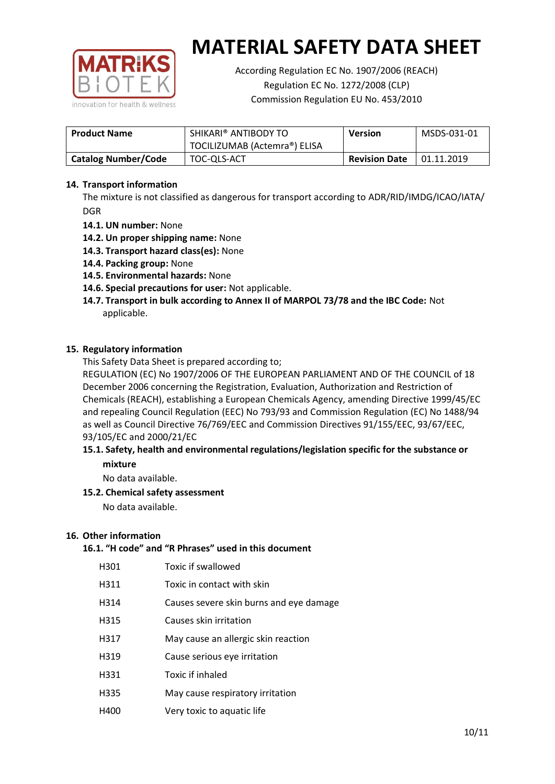

According Regulation EC No. 1907/2006 (REACH) Regulation EC No. 1272/2008 (CLP) Commission Regulation EU No. 453/2010

| <b>Product Name</b>        | SHIKARI® ANTIBODY TO<br><b>Version</b><br>TOCILIZUMAB (Actemra®) ELISA |  | MSDS-031-01 |
|----------------------------|------------------------------------------------------------------------|--|-------------|
| <b>Catalog Number/Code</b> | <b>Revision Date</b><br>TOC-QLS-ACT                                    |  | 01.11.2019  |

#### **14. Transport information**

The mixture is not classified as dangerous for transport according to ADR/RID/IMDG/ICAO/IATA/ DGR

- **14.1. UN number:** None
- **14.2. Un proper shipping name:** None
- **14.3. Transport hazard class(es):** None
- **14.4. Packing group:** None
- **14.5. Environmental hazards:** None
- **14.6. Special precautions for user:** Not applicable.
- **14.7. Transport in bulk according to Annex II of MARPOL 73/78 and the IBC Code:** Not applicable.

#### **15. Regulatory information**

This Safety Data Sheet is prepared according to;

REGULATION (EC) No 1907/2006 OF THE EUROPEAN PARLIAMENT AND OF THE COUNCIL of 18 December 2006 concerning the Registration, Evaluation, Authorization and Restriction of Chemicals (REACH), establishing a European Chemicals Agency, amending Directive 1999/45/EC and repealing Council Regulation (EEC) No 793/93 and Commission Regulation (EC) No 1488/94 as well as Council Directive 76/769/EEC and Commission Directives 91/155/EEC, 93/67/EEC, 93/105/EC and 2000/21/EC

#### **15.1. Safety, health and environmental regulations/legislation specific for the substance or mixture**

No data available.

#### **15.2. Chemical safety assessment**

No data available.

#### **16. Other information**

#### **16.1. "H code" and "R Phrases" used in this document**

| H301 | Toxic if swallowed |
|------|--------------------|
|      |                    |

- H311 Toxic in contact with skin
- H314 Causes severe skin burns and eye damage
- H315 Causes skin irritation
- H317 May cause an allergic skin reaction
- H319 Cause serious eye irritation
- H331 Toxic if inhaled
- H335 May cause respiratory irritation
- H400 Very toxic to aquatic life